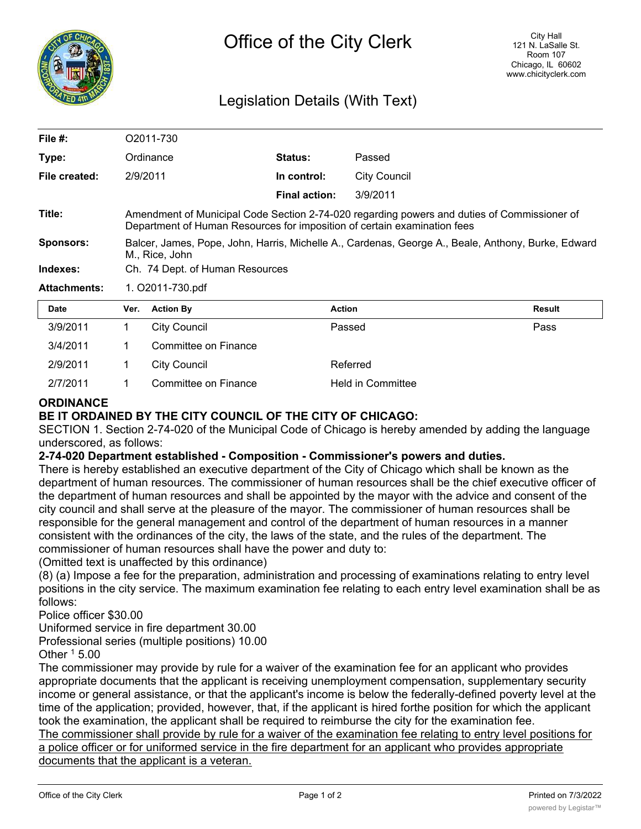

## Legislation Details (With Text)

| File #:             | O2011-730                                                                                                            |                                                                                                                                                                         |                      |                     |        |  |  |
|---------------------|----------------------------------------------------------------------------------------------------------------------|-------------------------------------------------------------------------------------------------------------------------------------------------------------------------|----------------------|---------------------|--------|--|--|
| Type:               |                                                                                                                      | Ordinance                                                                                                                                                               | <b>Status:</b>       | Passed              |        |  |  |
| File created:       |                                                                                                                      | 2/9/2011                                                                                                                                                                | In control:          | <b>City Council</b> |        |  |  |
|                     |                                                                                                                      |                                                                                                                                                                         | <b>Final action:</b> | 3/9/2011            |        |  |  |
| Title:              |                                                                                                                      | Amendment of Municipal Code Section 2-74-020 regarding powers and duties of Commissioner of<br>Department of Human Resources for imposition of certain examination fees |                      |                     |        |  |  |
| <b>Sponsors:</b>    | Balcer, James, Pope, John, Harris, Michelle A., Cardenas, George A., Beale, Anthony, Burke, Edward<br>M., Rice, John |                                                                                                                                                                         |                      |                     |        |  |  |
| Indexes:            | Ch. 74 Dept. of Human Resources                                                                                      |                                                                                                                                                                         |                      |                     |        |  |  |
| <b>Attachments:</b> | 1. O2011-730.pdf                                                                                                     |                                                                                                                                                                         |                      |                     |        |  |  |
| <b>Date</b>         | Ver.                                                                                                                 | <b>Action By</b>                                                                                                                                                        | <b>Action</b>        |                     | Result |  |  |
| 3/9/2011            | 1                                                                                                                    | <b>City Council</b>                                                                                                                                                     |                      | Passed              | Pass   |  |  |
| 3/4/2011            |                                                                                                                      | Committee on Finance                                                                                                                                                    |                      |                     |        |  |  |

| 2/9/2011 | City Council         | Referred                 |
|----------|----------------------|--------------------------|
| 2/7/2011 | Committee on Finance | <b>Held in Committee</b> |

## **ORDINANCE**

## **BE IT ORDAINED BY THE CITY COUNCIL OF THE CITY OF CHICAGO:**

SECTION 1. Section 2-74-020 of the Municipal Code of Chicago is hereby amended by adding the language underscored, as follows:

## **2-74-020 Department established - Composition - Commissioner's powers and duties.**

There is hereby established an executive department of the City of Chicago which shall be known as the department of human resources. The commissioner of human resources shall be the chief executive officer of the department of human resources and shall be appointed by the mayor with the advice and consent of the city council and shall serve at the pleasure of the mayor. The commissioner of human resources shall be responsible for the general management and control of the department of human resources in a manner consistent with the ordinances of the city, the laws of the state, and the rules of the department. The commissioner of human resources shall have the power and duty to:

(Omitted text is unaffected by this ordinance)

(8) (a) Impose a fee for the preparation, administration and processing of examinations relating to entry level positions in the city service. The maximum examination fee relating to each entry level examination shall be as follows:

Police officer \$30.00

Uniformed service in fire department 30.00

Professional series (multiple positions) 10.00

Other  $1$  5.00

The commissioner may provide by rule for a waiver of the examination fee for an applicant who provides appropriate documents that the applicant is receiving unemployment compensation, supplementary security income or general assistance, or that the applicant's income is below the federally-defined poverty level at the time of the application; provided, however, that, if the applicant is hired forthe position for which the applicant took the examination, the applicant shall be required to reimburse the city for the examination fee.

The commissioner shall provide by rule for a waiver of the examination fee relating to entry level positions for a police officer or for uniformed service in the fire department for an applicant who provides appropriate documents that the applicant is a veteran.